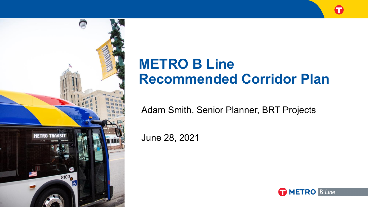

# **METRO B Line Recommended Corridor Plan**

Adam Smith, Senior Planner, BRT Projects

June 28, 2021

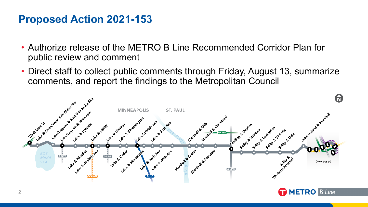#### **Proposed Action 2021-153**

- Authorize release of the METRO B Line Recommended Corridor Plan for public review and comment
- Direct staff to collect public comments through Friday, August 13, summarize comments, and report the findings to the Metropolitan Council

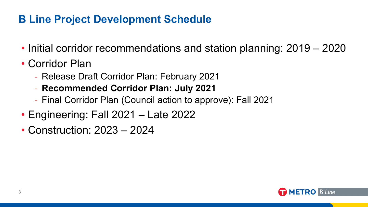## **B Line Project Development Schedule**

- Initial corridor recommendations and station planning: 2019 2020
- Corridor Plan
	- Release Draft Corridor Plan: February 2021
	- **Recommended Corridor Plan: July 2021**
	- Final Corridor Plan (Council action to approve): Fall 2021
- Engineering: Fall 2021 Late 2022
- Construction: 2023 2024

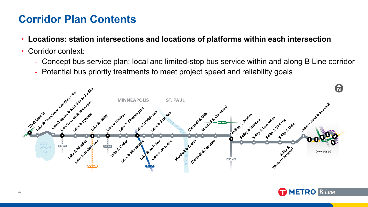## **Corridor Plan Contents**

- **Locations: station intersections and locations of platforms within each intersection**
- Corridor context:
	- Concept bus service plan: local and limited-stop bus service within and along B Line corridor
	- Potential bus priority treatments to meet project speed and reliability goals



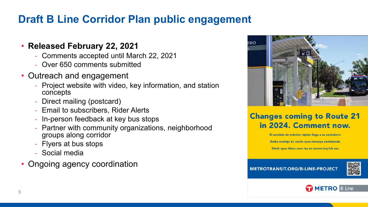# **Draft B Line Corridor Plan public engagement**

#### • **Released February 22, 2021**

- Comments accepted until March 22, 2021
- Over 650 comments submitted
- Outreach and engagement
	- Project website with video, key information, and station concepts
	- Direct mailing (postcard)
	- Email to subscribers, Rider Alerts
	- In-person feedback at key bus stops
	- Partner with community organizations, neighborhood groups along corridor
	- Flyers at bus stops
	- Social media
- Ongoing agency coordination



#### **Changes coming to Route 21** in 2024. Comment now.

El autobús de tránsito rápido llega a su vecindario

Baska xawliga ku socda ayaa imanaya xaafadaada

Tsheb npav khiav ceev los ze ntawm koj lub zos

#### **METROTRANSIT.ORG/B-LINE-PROJECT**



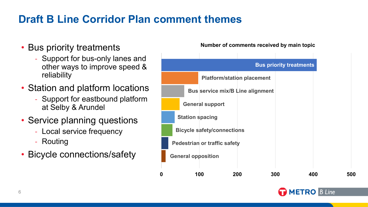# **Draft B Line Corridor Plan comment themes**

- Bus priority treatments
	- Support for bus-only lanes and other ways to improve speed & reliability
- Station and platform locations
	- Support for eastbound platform at Selby & Arundel
- Service planning questions
	- Local service frequency
	- Routing
- Bicycle connections/safety **General opposition**

#### **Number of comments received by main topic**



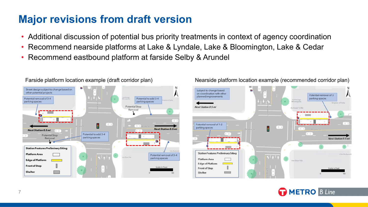## **Major revisions from draft version**

- Additional discussion of potential bus priority treatments in context of agency coordination
- Recommend nearside platforms at Lake & Lyndale, Lake & Bloomington, Lake & Cedar
- Recommend eastbound platform at farside Selby & Arundel





#### Farside platform location example (draft corridor plan) Nearside platform location example (recommended corridor plan)

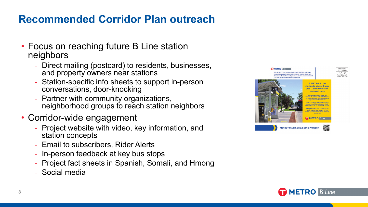#### **Recommended Corridor Plan outreach**

- Focus on reaching future B Line station neighbors
	- Direct mailing (postcard) to residents, businesses, and property owners near stations
	- Station-specific info sheets to support in-person conversations, door-knocking
	- Partner with community organizations, neighborhood groups to reach station neighbors
- Corridor-wide engagement
	- Project website with video, key information, and station concepts
	- Email to subscribers, Rider Alerts
	- In-person feedback at key bus stops
	- Project fact sheets in Spanish, Somali, and Hmong
	- Social media